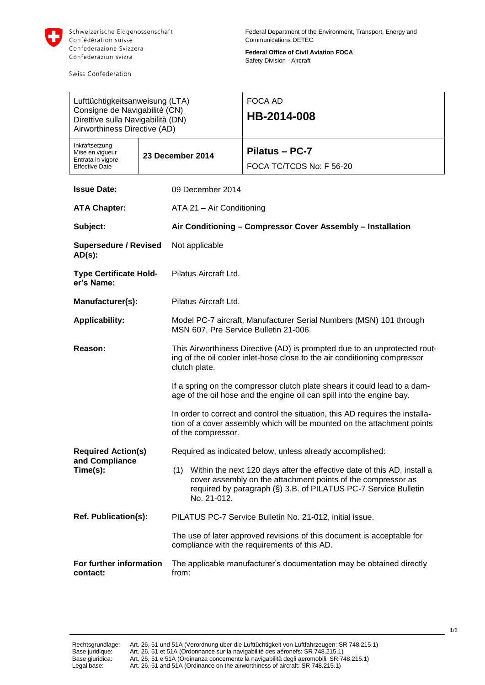

Swiss Confederation

**Federal Office of Civil Aviation FOCA** Safety Division - Aircraft

| Lufttüchtigkeitsanweisung (LTA)<br>Consigne de Navigabilité (CN)<br>Direttive sulla Navigabilità (DN)<br>Airworthiness Directive (AD) |  |                                                                                                                                                                                                                                  | FOCA AD<br>HB-2014-008                     |
|---------------------------------------------------------------------------------------------------------------------------------------|--|----------------------------------------------------------------------------------------------------------------------------------------------------------------------------------------------------------------------------------|--------------------------------------------|
| Inkraftsetzung<br>Mise en vigueur<br>Entrata in vigore<br><b>Effective Date</b>                                                       |  | 23 December 2014                                                                                                                                                                                                                 | Pilatus - PC-7<br>FOCA TC/TCDS No: F 56-20 |
| <b>Issue Date:</b>                                                                                                                    |  | 09 December 2014                                                                                                                                                                                                                 |                                            |
| <b>ATA Chapter:</b>                                                                                                                   |  | ATA 21 - Air Conditioning                                                                                                                                                                                                        |                                            |
| Subject:                                                                                                                              |  | Air Conditioning - Compressor Cover Assembly - Installation                                                                                                                                                                      |                                            |
| <b>Supersedure / Revised</b><br>$AD(s)$ :                                                                                             |  | Not applicable                                                                                                                                                                                                                   |                                            |
| <b>Type Certificate Hold-</b><br>er's Name:                                                                                           |  | Pilatus Aircraft Ltd.                                                                                                                                                                                                            |                                            |
| Manufacturer(s):                                                                                                                      |  | Pilatus Aircraft Ltd.                                                                                                                                                                                                            |                                            |
| <b>Applicability:</b>                                                                                                                 |  | Model PC-7 aircraft, Manufacturer Serial Numbers (MSN) 101 through<br>MSN 607, Pre Service Bulletin 21-006.                                                                                                                      |                                            |
| Reason:                                                                                                                               |  | This Airworthiness Directive (AD) is prompted due to an unprotected rout-<br>ing of the oil cooler inlet-hose close to the air conditioning compressor<br>clutch plate.                                                          |                                            |
|                                                                                                                                       |  | If a spring on the compressor clutch plate shears it could lead to a dam-<br>age of the oil hose and the engine oil can spill into the engine bay.                                                                               |                                            |
|                                                                                                                                       |  | In order to correct and control the situation, this AD requires the installa-<br>tion of a cover assembly which will be mounted on the attachment points<br>of the compressor.                                                   |                                            |
| <b>Required Action(s)</b>                                                                                                             |  | Required as indicated below, unless already accomplished:                                                                                                                                                                        |                                            |
| and Compliance<br>Time(s):                                                                                                            |  | Within the next 120 days after the effective date of this AD, install a<br>(1)<br>cover assembly on the attachment points of the compressor as<br>required by paragraph (§) 3.B. of PILATUS PC-7 Service Bulletin<br>No. 21-012. |                                            |
| Ref. Publication(s):                                                                                                                  |  | PILATUS PC-7 Service Bulletin No. 21-012, initial issue.                                                                                                                                                                         |                                            |
|                                                                                                                                       |  | The use of later approved revisions of this document is acceptable for<br>compliance with the requirements of this AD.                                                                                                           |                                            |
| For further information<br>contact:                                                                                                   |  | The applicable manufacturer's documentation may be obtained directly<br>from:                                                                                                                                                    |                                            |